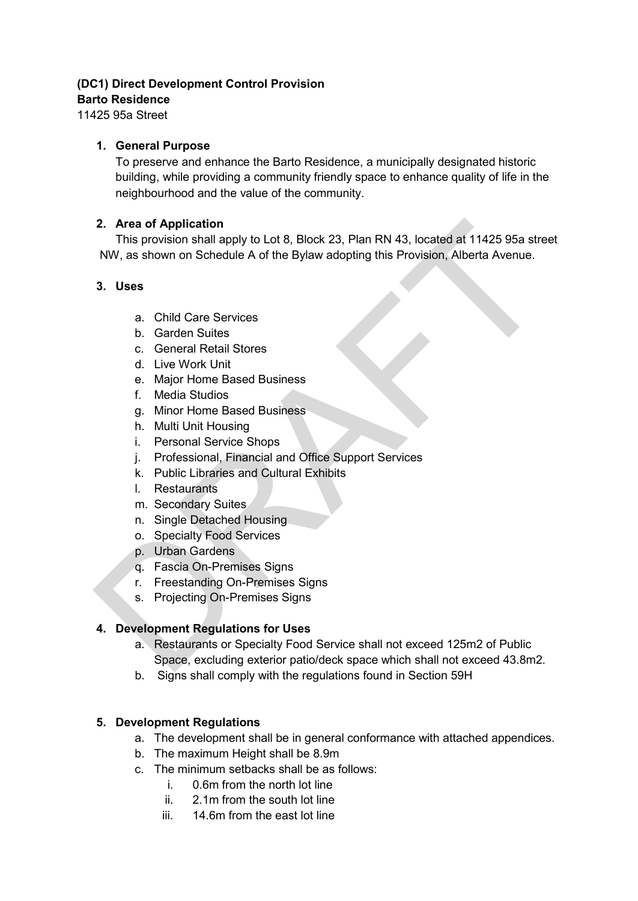#### **(DC1) Direct Development Control Provision**

#### **Barto Residence**

11425 95a Street

#### **1. General Purpose**

To preserve and enhance the Barto Residence, a municipally designated historic building, while providing a community friendly space to enhance quality of life in the neighbourhood and the value of the community.

# **2. Area of Application**

This provision shall apply to Lot 8, Block 23, Plan RN 43, located at 11425 95a street NW, as shown on Schedule A of the Bylaw adopting this Provision, Alberta Avenue. **2. Area of Application**<br>
This provision shall apply to Lot 8, Block 23, Plan RN 43, located at 11425 95a stre<br>
NW, as shown on Schedule A of the Bylaw adopting this Provision, Alberta Avenue.<br>
3. Uses<br>
a. Child Care Servi

# **3. Uses**

- a. Child Care Services
- b. Garden Suites
- c. General Retail Stores
- d. Live Work Unit
- e. Major Home Based Business
- f. Media Studios
- g. Minor Home Based Business
- h. Multi Unit Housing
- i. Personal Service Shops
- j. Professional, Financial and Office Support Services
- k. Public Libraries and Cultural Exhibits
- l. Restaurants
- m. Secondary Suites
- n. Single Detached Housing
- o. Specialty Food Services
- p. Urban Gardens
- q. Fascia On-Premises Signs
- r. Freestanding On-Premises Signs
- s. Projecting On-Premises Signs

# **4. Development Regulations for Uses**

- a. Restaurants or Specialty Food Service shall not exceed 125m2 of Public Space, excluding exterior patio/deck space which shall not exceed 43.8m2.
- b. Signs shall comply with the regulations found in Section 59H

# **5. Development Regulations**

- a. The development shall be in general conformance with attached appendices.
- b. The maximum Height shall be 8.9m
- c. The minimum setbacks shall be as follows:
	- i. 0.6m from the north lot line
	- ii. 2.1m from the south lot line
	- iii. 14.6m from the east lot line